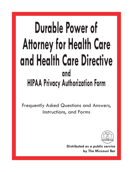# **Durable Power of Attorney for Health Care and Health Care Directive and HIPAA Privacy Authorization Form**

Frequently Asked Questions and Answers, Instructions, and Forms



**Distributed as a public service by The Missouri Bar**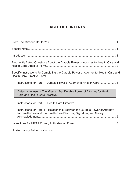# **TABLE OF CONTENTS**

| Frequently Asked Questions About the Durable Power of Attorney for Health Care and                                                                     |  |
|--------------------------------------------------------------------------------------------------------------------------------------------------------|--|
| Specific Instructions for Completing the Durable Power of Attorney for Health Care and<br><b>Health Care Directive Form</b>                            |  |
|                                                                                                                                                        |  |
| Detachable Insert - The Missouri Bar Durable Power of Attorney for Health<br><b>Care and Health Care Directive</b>                                     |  |
|                                                                                                                                                        |  |
| Instructions for Part III – Relationship Between the Durable Power of Attorney<br>for Health Care and the Health Care Directive, Signature, and Notary |  |
|                                                                                                                                                        |  |
|                                                                                                                                                        |  |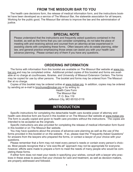# **FROM THE MISSOURI BAR TO YOU**

The health care decisions form, the release of medical information form, and the instructions booklet have been developed as a service of The Missouri Bar, the statewide association for all lawyers. Working for the public good, The Missouri Bar strives to improve the law and the administration of justice.

# **SPECIAL NOTE**

Please understand that the instructions and frequently asked questions contained in the booklet, as well as the forms that you can consider completing, do not take the place of meeting with and receiving advice and counsel from an attorney-at-law experienced in assisting clients with completing these forms. Often lawyers who do estate planning, elder law, and general practice emphasizing those areas can assist you with your health care advance planning. Please contact any of them if you have any questions.

# **Ordering Information**

The forms with information from this booklet are available on The Missouri Bar website at www.mobar.org and may be completed online. Additional printed copies of this booklet and forms are available at no charge at courthouses, libraries, and University of Missouri Extension Centers. The forms may be copied for use by other persons. The booklet and forms may be ordered from The Missouri Bar at no charge.

Copies of this booklet may be ordered online at www.mobar.org. In addition, copies may be ordered by sending an e-mail to brochures@mobar.org or by writing to:

> Health Care Form The Missouri Bar P. O. Box 119 Jefferson City, MO 65102-0119

# **INTRODUCTION**

 Specific instructions for completing the detachable health care durable power of attorney and health care directive form are found in this booklet or on The Missouri Bar website at www.mobar.org. The form is usually copied and given to health care providers without the instructions. The copies are intended to be accepted as the originals.

 Specific instructions are also provided for completing the release of medical information form found in this booklet or on The Missouri Bar website.

You may have questions about the process of advance-care planning as well as the use of the forms provided in this booklet or on the website. If so, please read the "Frequently Asked Questions" for answers from the lawyers who prepared the forms, or contact a lawyer of your choice with your questions.

Please remember that a form may not meet every person's needs or contain every person's choices. Most people recognize that a "one size-fits-all" approach may not be appropriate for everyone; however, efforts were made to prepare a form to meet the needs of many people who would be completing these forms.

If either form does not meet your needs in specifying your wishes, consult with a lawyer who practices in these areas to assure that your choices for care and treatment, as well as decision-makers, are properly addressed and followed.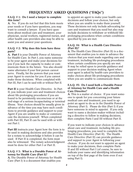#### F.A.Q. # 1: Do I need a lawyer to complete this form?

A. No. If you do not feel that this form meets your needs or if you have questions, you may want to consult a lawyer. If you have questions about medical care and treatment, your physician, social workers, registered nurses, and other health care providers also may be able to assist you and answer your questions.

## F.A.Q. # 2: Why does this form have three parts?

A. Part I is your Durable Power of Attorney for Health Care. In Part I, you name someone to be your agent and make your decisions for you if you lack the capacity to make or communicate them in the future. You also should name alternates if your first person cannot serve. Finally, list the powers that you want your Agent to exercise for you if you cannot make those decisions. When completed with Part III, Part I can be used with or without Part II.

Part II is your Health Care Directive. In Part II, you indicate your care and treatment choices about life-prolonging procedures if you are found to be persistently unconscious or at the end-stage of a serious incapacitating or terminal illness. Your choices should be usually given in advance of the time you may have such conditions to provide guidance and support to your Agent if you are unable to make or communicate the decisions yourself. When completed with Part III, Part II can be used with or without Part I.

**Part III** instructs your Agent how the form is to be used in making decisions and also provides for a notary to acknowledge it before it can be used. If Part II is completed, the form must also be witnessed. The notary acknowledgment must be done for either Part I or Part II.

## F.A.Q. # 3: What is a Durable Power of Attorney for Health Care (Part I)?

A. The Durable Power of Attorney for Health Care (Part I) is a document that enables you

to appoint an agent to make your health care decisions and follow your choices, but only when you are unable to make them yourself. These decisions not only include advocating for care and treatment that you need but also may include decisions to withdraw or withhold lifeprolonging procedures when certain conditions specified by you are met.

## F.A.Q. #4: What is a Health Care Directive (Part II)?

A. The Health Care Directive (Part II) is a document that enables you to state in advance the choices that you want made regarding care and treatment, including life-prolonging procedures when certain conditions you specify are met. It may be relied upon to provide guidance and support to your decision-making Agent when your agent is asked by health-care providers to make choices about life-prolonging procedures when you are unable to communicate them.

#### F.A.Q. #5: Do I need both a Durable Power of Attorney for Health Care *and* a Health Care Directive?

A. This is a matter of choice. If you want someone to speak for you concerning your future medical care and treatment, you need to appoint an agent to do so in the Durable Power of Attorney (Part I). Please do this (Part I) if you have someone in mind to appoint. If you only want to name a decision-maker without including a directive to follow in making decisions, then complete Parts I and III without Part II.

If you want to indicate your choices in advance about care and treatment, including life prolonging procedures, you need to complete the Health Care Directive (Part II). The Health Care Directive (Part II) can provide guidance and support to your Agent in following your choices. If you do not want to appoint an agent to make your decisions, then complete Parts II and III without Part I (of course, be sure to indicate your name and identifying information on top of the first page of the form even if not using Part I).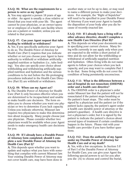### F.A.Q. #6: What are the requirements for a person to serve as my Agent?

A. You may appoint a person 18 years of age or older. An agent is usually a close relative or friend that you trust with your life. The agent cannot be your physician, or an owner/operator or employee of a health care facility where you are a patient or resident, unless you are related to that person.

## F.A.Q. #7: Can your Agent request that tube feeding be withheld or withdrawn?

A. Yes, if you specifically authorize your Agent to do so. The Durable Power of Attorney for Health Care (Part I) requires that you indicate whether or not you choose your Agent to have authority to withhold or withdraw artificiallysupplied nutrition or hydration (i.e., tube feeding). You also can specify your choice about withholding and withdrawing artificially-supplied nutrition and hydration and the serious conditions to be met before the life-prolonging procedures indicated in the Health Care Directive (Part II) are withheld or withdrawn.

## F.A.Q. #8: When can my Agent act?

A. The Durable Power of Attorney for Health Care (Part I) only becomes effective when you are determined to be incapacitated and unable to make health care decisions. The form enables you to choose whether you want one physician or two to determine if you lack capacity. Unless you indicate otherwise, Missouri law requires two physicians to make this determination about incapacity. Many people choose just one physician. Please consider whether two physicians would be available when your Agent needs to make emergency health care decisions for you.

#### F.A.Q. #9: If I already have a Durable Power of Attorney form completed, should I complete a new Durable Power of Attorney for Health Care (Part I)?

A. This depends upon whether you want to update and replace what you have with something that complies with current Missouri law. Your existing Durable Power of Attorney may not cover health care, may have been done in

another state or not be up to date, or may need to name a different person to make your decisions. For example, the "Right of Sepulcher" will need to be specified in your Durable Power of Attorney if you want your Agent to handle the disposition of your body after you die because of recently-enacted law.

#### F.A.Q. #10: If I already have a living will or other advance directive, should I complete a new Health Care Directive (Part II)?

A. This depends on what your documents say in specifying your current choices. Many living wills currently in use apply only when you are expected to die within a short period of time and do not allow for the withholding or withdrawal of artificially-supplied nutrition and hydration. Often living wills do not name agents to follow your choices when you lack capacity, and you may want to complete Part I to do that. Some living wills do not cover the condition of being persistently unconscious.

#### F.A.Q. # 11: What is the difference between a out-of-hospital do not resuscitate (OHDNR) order and a health care directive?

A. The OHDNR order is a physician's order under Missouri law that the patient will not be resuscitated if the patient stops breathing or the patient's heart stops. The order must be signed by a physician and the patient (or if the patient lacks capacity, the patient's agent under a health care durable power of attorney or the patient's guardian). A health care directive is not a physician's order, but it is signed by the patient to indicate the patient's choices about several types of treatment if certain conditions happen in the future. Please visit with your health care provider if you have further questions.

#### F.A.Q. #12: Does the authority of my Agent under my Durable Power of Attorney for Health Care end at my death?

A. Yes, with a few exceptions. In Section 5.F. of Part I of the Durable Power of Attorney for Health Care, you can give your Agent the following special powers to act for you after you die: (A) to choose and control the burial,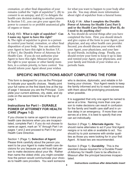cremation, or other final disposition of your remains (called the "right of sepulcher"); (B) to consent to an autopsy; and (C) to delegate the health-care decision making to another person. In Section 5.G., you can give your agent the power to consent to or prohibit anatomical gifts of organs or tissue.

## F.A.Q. #13: What is right of sepulcher? Can I name my Agent to have this right?

A. The right of sepulcher is given to a person to control your burial, cremation, or other final disposition of your body. You can authorize your Agent to have this right in Section 5.F., of Part I, the Durable Power of Attorney for Health Care. If you do not authorize your Agent to have this right, Missouri law gives the right to your spouse or other family members, in a certain priority, to have control. You should inform your Agent about your wishes

for what you want to happen to your body after you die. You may obtain more information about right of sepulcher from a funeral home.

#### F.A.Q. # 14: After I complete the Durable Power of Attorney for Health Care( Part I) and/or the Health Care Directive (Part II), do I need to do anything else?

A. You should do several things after you have completed the form. First, you should detach and give copies of the form to your Agent, your physician, and any other health care provider. Second, you should discuss your wishes with your Agent, your physicians, and your family and friends, including clergy. Finally, you should review your form to keep it up to date and remind your Agent, your physicians, and your family and friends of your wishes on a periodic basis.

# **SPECIFIC INSTRUCTIONS ABOUT COMPLETING THE FORM**

This form is designed for you as the Principal to indicate your specific choices. Neatly print your full name on the first blank line at the top of page 1 because you are the Principal. Complete your current address, city, state, and zip code on the second blank line at the top of page 1.

# **Instructions for Part I – DURABLE POWER OF ATTORNEY FOR HEALTH CARE (Pages 1-2)**

If you choose to name an agent to make your health care decisions when you are incapacitated, complete Part I. If you do not choose to name an agent, mark an "X" through Part I on pages 1 and 2 and proceed to Part II for your Health Care Directive.

## Section 1 (Page 1). **Selection of Agent**:

Please think carefully about the person you want to be your Agent to make health care decisions for you because you will trust that person to make decisions about your life. Rather than name the oldest child, you might consider how the person would communicate your choices to health care providers. You want someone who is decisive, diplomatic, and reliable in following your choices. Your Agent needs to keep the family informed and try to reach consensus with them about life-prolonging procedures when possible.

It is suggested that only one agent be named to serve at a time. Naming more than one person to make decisions can result in confusion for the family and health care staff and in undue delay in an emergency. If more than one serves at a time, it is best to specify that one can act individually.

Section 2 (Page 1). **Alternate Agents**: You should name alternates to act if your first Agent resigns or is not able or available to act. You should try to pick someone with similar qualities as those you were looking for in your first Agent. At least two are recommended.

Section 3 (Page 1). **Durability**: This is the standard clause required for a Durable Power of Attorney for Health Care to be effective in Missouri after the principal becomes incapacitated.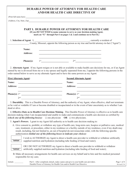## **DURABLE POWER OF ATTORNEY FOR HEALTH CARE AND/OR HEALTH CARE DIRECTIVE OF**

(Print full name here) \_\_\_\_\_\_\_\_\_\_\_\_\_\_\_\_\_\_\_\_\_\_\_\_\_\_\_\_\_\_\_\_\_\_\_\_\_\_\_\_\_\_\_\_\_\_\_\_\_\_\_\_\_\_\_\_\_\_\_\_\_\_\_\_\_

(Address, City, State, Zip)\_\_\_\_\_\_\_\_\_\_\_\_\_\_\_\_\_\_\_\_\_\_\_\_\_\_\_\_\_\_\_\_\_\_\_\_\_\_\_\_\_\_\_\_\_\_\_\_\_\_\_\_\_\_\_\_\_\_\_\_\_\_\_

|                                        | 1. Selection of Agent. I, |                                                                                                                                                                                                                                      |                                                                                                                                                                                                                                                                                                                                                                                                                                               |                                                                                                                               |
|----------------------------------------|---------------------------|--------------------------------------------------------------------------------------------------------------------------------------------------------------------------------------------------------------------------------------|-----------------------------------------------------------------------------------------------------------------------------------------------------------------------------------------------------------------------------------------------------------------------------------------------------------------------------------------------------------------------------------------------------------------------------------------------|-------------------------------------------------------------------------------------------------------------------------------|
|                                        |                           |                                                                                                                                                                                                                                      |                                                                                                                                                                                                                                                                                                                                                                                                                                               |                                                                                                                               |
|                                        | Name:                     |                                                                                                                                                                                                                                      |                                                                                                                                                                                                                                                                                                                                                                                                                                               |                                                                                                                               |
|                                        | <b>Address:</b>           |                                                                                                                                                                                                                                      | <u> 1990 - Johann John Stoff, fransk politik (f. 1900)</u>                                                                                                                                                                                                                                                                                                                                                                                    |                                                                                                                               |
|                                        | Phone(s):                 |                                                                                                                                                                                                                                      | $1st$ $2nd$ $2nd$ $2nd$ $2nd$ $2nd$ $2nd$ $2nd$ $2nd$ $2nd$ $2nd$ $2nd$ $2nd$ $2nd$ $2nd$ $2nd$ $2nd$ $2nd$ $2nd$ $2nd$                                                                                                                                                                                                                                                                                                                       |                                                                                                                               |
|                                        |                           |                                                                                                                                                                                                                                      |                                                                                                                                                                                                                                                                                                                                                                                                                                               |                                                                                                                               |
| <b>First Alternate Agent:</b><br>Name: |                           |                                                                                                                                                                                                                                      | named by me is divorced from me or is my spouse and legally separated from me, I appoint the following persons in the<br>order named below to serve as my alternate Agent and to have the same powers as my Agent:<br><b>Second Alternate Agent:</b><br>Name:                                                                                                                                                                                 |                                                                                                                               |
|                                        |                           | <u> 1989 - Johann John Harry Harry Harry Harry Harry Harry Harry Harry Harry Harry Harry Harry Harry Harry Harry Harry Harry Harry Harry Harry Harry Harry Harry Harry Harry Harry Harry Harry Harry Harry Harry Harry Harry Har</u> | <u> 1980 - Jan Barbara, margaret amerikan basar dan berasal dalam basa dalam basar dalam basar dalam basa dalam b</u>                                                                                                                                                                                                                                                                                                                         |                                                                                                                               |
|                                        |                           | Address: <u>Address: Address: Address: Address: Address: Address: Address: Address: Address: Address: Address: Address: Address: Address: Address: Address: Address: Address: Address: Address: Address: Address: Address: Addre</u> | Address:                                                                                                                                                                                                                                                                                                                                                                                                                                      |                                                                                                                               |
|                                        |                           | <u> 1989 - Johann Barbara, martxa alemaniar arg</u>                                                                                                                                                                                  |                                                                                                                                                                                                                                                                                                                                                                                                                                               | <u> 1989 - Johann John Stone, mars et al. 1989 - John Stone, mars et al. 1989 - John Stone, mars et al. 1989 - John Stone</u> |
|                                        |                           | 2 <sup>nd</sup>                                                                                                                                                                                                                      | 2 <sup>nd</sup>                                                                                                                                                                                                                                                                                                                                                                                                                               |                                                                                                                               |
| dead or alive.                         |                           |                                                                                                                                                                                                                                      | 3. Durability. This is a Durable Power of Attorney, and the authority of my Agent, when effective, shall not terminate<br>or be void or voidable if I am or become disabled or incapacitated or in the event of later uncertainty as to whether I am                                                                                                                                                                                          |                                                                                                                               |
|                                        |                           |                                                                                                                                                                                                                                      | 4. Effective Date as to Health Care Decision Making. This Durable Power of Attorney is effective as to health care<br>decision making when I am incapacitated and unable to make and communicate a health care decision as certified by<br>(check one of the following boxes): $\Box$ one physician OR $\Box$ two physicians.                                                                                                                 |                                                                                                                               |
|                                        |                           |                                                                                                                                                                                                                                      | 5. Agent's Powers. I grant to my Agent full authority as to health care decision making to:                                                                                                                                                                                                                                                                                                                                                   |                                                                                                                               |
|                                        |                           |                                                                                                                                                                                                                                      | A. Give consent to, prohibit, or withdraw any type of health care, long-term care, hospice or palliative care, medical<br>care, treatment, or procedure, either in my residence or a facility outside of my residence, even if my death may<br>result, including, but not limited to, an out of hospital do-not-resuscitate order, with the following specific<br>authorization (initial one of the following boxes to indicate your choice): |                                                                                                                               |
| <b>Initials</b>                        |                           |                                                                                                                                                                                                                                      | I wish to AUTHORIZE my Agent to direct a health care provider to withhold or withdraw artificially<br>supplied nutrition and hydration (including tube feeding of food and water);                                                                                                                                                                                                                                                            |                                                                                                                               |
| <b>Initials</b>                        |                           |                                                                                                                                                                                                                                      | OR I DO NOT AUTHORIZE my Agent to direct a health care provider to withhold or withdraw<br>artificially supplied nutrition and hydration (including tube feeding of food and water);                                                                                                                                                                                                                                                          |                                                                                                                               |
|                                        | responsible for my care;  |                                                                                                                                                                                                                                      | B. Make all necessary arrangements for health care services on my behalf and to hire and fire medical personnel                                                                                                                                                                                                                                                                                                                               |                                                                                                                               |
|                                        |                           |                                                                                                                                                                                                                                      | Part I - After completed, detach, make copies and give to your health care providers.                                                                                                                                                                                                                                                                                                                                                         |                                                                                                                               |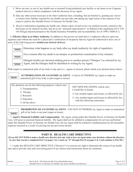- C. Move me into, or out of, any health care or assisted living/residential care facility or my home (even if against medical advice) to obtain compliance with the decisions of my Agent;
- D.Take any other action necessary to do what I authorize here, including, but not limited to, granting any waiver or release from liability required by any health care provider and taking any legal action at the expense of my estate to enforce this Durable Power of Attorney for Health Care;
- E. Receive information regarding my health care, obtain copies of and review my medical records, consent to the disclosure of my medical records, and act as my "personal representative" as defined in the regulations [45 C.F.R.  $164.502(g)$ ] enacted pursuant to the Health Insurance Portability and Accountability Act of 1996 ("HIPAA");

6. **Effective Date as to Other Authority.** In addition to the powers set forth above, I authorize effective upon my signature and without the need for a physician's certification of incapacity that my Agent be authorized to have one or more of the following powers *(initial your desired choices):*

| $\sqrt{\frac{1}{\sqrt{\frac{1}{1}}}}$ | Determine what happens to my body after my death (authority for right of sepulcher); |
|---------------------------------------|--------------------------------------------------------------------------------------|
|                                       | Give consent after my death to an autopsy or postmortem examination of my remains;   |

**Initials**

**Initials**

 Delegate health care decision-making power to another person ("Delegee") as selected by my Agent, and the Delegee shall be identified in writing by my Agent;

With respect to anatomical gifts of my body or any part (i.e., organs or tissues), please initial your desired choice below:

**Initials**

 **AUTHORIZATION OF ANATOMICAL GIFTS**. I wish to AUTHORIZE my Agent to make an anatomical gift of my body or part (organ or tissue).

| My donations are for the following purposes: (check one)<br>$\Box$ Transplantation<br>$\Box$ Therapy<br>$\Box$ Research<br>$\Box$ Education<br>$\Box$ All the above | GIFT SPECIFICATIONS: (check one)<br>I would like to donate<br>$\Box$ Any needed organs and tissues, as allowed by law.<br>$\Box$ Any needed organs and tissues as allowed by law,<br>with the following restrictions: |
|---------------------------------------------------------------------------------------------------------------------------------------------------------------------|-----------------------------------------------------------------------------------------------------------------------------------------------------------------------------------------------------------------------|
|---------------------------------------------------------------------------------------------------------------------------------------------------------------------|-----------------------------------------------------------------------------------------------------------------------------------------------------------------------------------------------------------------------|



 **PROHIBITION OF ANATOMICAL GIFTS**. I DO NOT AUTHORIZE my Agent to make an anatomical gift of my body or any part (organ or tissue).

7. **Agent's Financial Liability and Compensation**. My Agent, acting under this Durable Power of Attorney for Health Care, will incur no personal financial liability. My Agent shall not be entitled to compensation for services performed under this Durable Power of Attorney for Health Care, but my Agent shall be entitled to reimbursement for all reasonable expenses incurred as a result of carrying out any provisions hereof.

## **PART II. HEALTH CARE DIRECTIVE**

**(If you** *DO NOT WISH* **to make a health care directive but only wish to have an Agent make your decisions without the directive, be sure that you have completed Part I on pages 1 & 2, mark an "X" through Part II on pages 2 & 3 and continue to Part III.)**

1. I make this HEALTH CARE DIRECTIVE ("Directive") to exercise my right to determine the course of my health care and to provide clear and convincing proof of my choices and instructions about my treatment.

| Initials | Parts I & II - The Missouri Bar Form Detachable Insert                 | Page 2 of 4  |
|----------|------------------------------------------------------------------------|--------------|
|          | Durable Power of Attorney for Health Care and/or Health Care Directive | Revised 2/14 |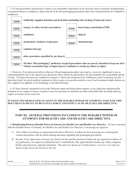2. If I am persistently unconscious or there is no reasonable expectation of my recovery from a seriously incapacitating or terminal illness or condition, I direct that all of the life-prolonging procedures that I have initialed below be withheld or withdrawn.



3. However, if my physician believes that any life-prolonging procedure may lead to a recovery significant to me as communicated by me or my Agent to my physician, then I direct my physician to try the treatment for a reasonable period of time. If it does not cause my condition to improve, I direct the treatment to be withdrawn even if it shortens my life. I also direct that I be given medical treatment to relieve pain or to provide comfort, even if such treatment might shorten my life, suppress my appetite or my breathing, or be habit-forming.

4. If I have already consented to be on the Missouri organ and tissue donor registry or my Agent has authorized the donation of my organs or tissues, I realize it may be necessary to maintain my body artificially after my death until my organs or tissues can be removed.

#### **IF I HAVE NOT DESIGNATED AN AGENT IN THE DURABLE POWER OF ATTORNEY, PART II OF THIS DOCUMENT IS MEANT TO BE IN FULL FORCE AND EFFECT AS MY HEALTH CARE DIRECTIVE.**

## **PART III. GENERAL PROVISIONS INCLUDED IN THE DURABLE POWER OF ATTORNEY FOR HEALTH CARE AND HEALTH CARE DIRECTIVE**

**1. Relationship Between Durable Power of Attorney for Health Care and Health Care Directive .** If I have executed both the Durable Power of Attorney for Health Care and Health Care Directive, I encourage my Agent to:

- A. First, follow my choices as expressed in the above Directive or otherwise from knowing me or having had various discussions with me about making decisions regarding life-prolonging procedures.
- B. Second, if my Agent does not know my choices for the specific decision at hand, but my Agent has evidence of my preferences, my Agent can determine how I would decide. My Agent should consider my values, religious beliefs, past decisions, and past statements. The aim is to choose as I would choose, *even if it is not what my Agent would choose for himself or herself.*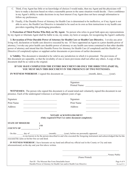- C. Third, if my Agent has little or no knowledge of choices I would make, then my Agent and the physicians will have to make a decision based on what a reasonable person in the same situation would decide. I have confidence in my Agent's ability to make decisions in my best interest if my Agent does not have enough information to follow my preferences.
- D. Finally, if the Durable Power of Attorney for Health Care is determined to be ineffective, or if my Agent is not able to serve, the Health Care Directive is intended to be used on its own as firm instructions to my health care providers regarding life-prolonging procedures.

**2. Protection of Third Parties Who Rely on My Agent.** No person who relies in good faith upon any representations by my Agent or Alternate Agent shall be liable to me, my estate, my heirs or assigns, for recognizing the Agent's authority.

**3. Revocation of Prior Durable Power of Attorney for Health Care or Health Care Directive.** I revoke any prior living will, declaration or health care directive executed by me. If I have appointed an Agent in a prior durable power of attorney, I revoke any prior health care durable power of attorney or any health care terms contained in that other durable power of attorney and intend that this Durable Power for Attorney for Health Care (if completed) and this Health Care Directive (if completed) replace or supplant earlier documents or provisions of earlier documents.

**4. Validity.** This document is intended to be valid in any jurisdiction in which it is presented. The provisions of this document are separable, so that the invalidity of one or more provisions shall not affect any others. A copy of this document shall be as valid as the original.

#### **IF YOU HAVE COMPLETED THE ENTIRE DOCUMENT OR ONLY THE DIRECTIVE (PART II), YOU MUST SIGN THIS DOCUMENT IN THE PRESENCE OF TWO WITNESSES.**

| <b>IN WITNESS WHEREOF, I signed this document on</b> | (month, date), | (year). |  |
|------------------------------------------------------|----------------|---------|--|
|                                                      |                |         |  |

 $\frac{1}{\sqrt{2}}$  ,  $\frac{1}{\sqrt{2}}$  ,  $\frac{1}{\sqrt{2}}$  ,  $\frac{1}{\sqrt{2}}$  ,  $\frac{1}{\sqrt{2}}$  ,  $\frac{1}{\sqrt{2}}$  ,  $\frac{1}{\sqrt{2}}$  ,  $\frac{1}{\sqrt{2}}$  ,  $\frac{1}{\sqrt{2}}$  ,  $\frac{1}{\sqrt{2}}$  ,  $\frac{1}{\sqrt{2}}$  ,  $\frac{1}{\sqrt{2}}$  ,  $\frac{1}{\sqrt{2}}$  ,  $\frac{1}{\sqrt{2}}$  ,  $\frac{1}{\sqrt{2}}$ 

 Signature Printed Name:

**WITNESSES:** The person who signed this document is of sound mind and voluntarily signed this document in our presence. Each of the undersigned witnesses is at least eighteen years of age.

| Signature                                                |                                                | Signature                                                                                                                                                                                                                          |                                            |
|----------------------------------------------------------|------------------------------------------------|------------------------------------------------------------------------------------------------------------------------------------------------------------------------------------------------------------------------------------|--------------------------------------------|
| Print Name                                               |                                                | Print Name                                                                                                                                                                                                                         |                                            |
| Address                                                  |                                                | Address                                                                                                                                                                                                                            |                                            |
|                                                          |                                                | NOTARY ACKNOWLEDGMENT<br>(Only required if Part I or entire document completed.)                                                                                                                                                   |                                            |
| <b>STATE OF MISSOURI</b>                                 | $)$ SS                                         |                                                                                                                                                                                                                                    |                                            |
| COUNTY OF                                                |                                                |                                                                                                                                                                                                                                    |                                            |
| executed the same as his/her free act and deed.          |                                                | On this _______ day of _________________ (month), _______ (year), before me personally appeared ______________<br>to me known to be the person described in and who executed the foregoing instrument and acknowledged that he/she |                                            |
| aforementioned, on the day and year first above written. |                                                | IN WITNESS WHEREOF, I have hereunto set my hand and affixed my official seal in the County or City and state                                                                                                                       |                                            |
|                                                          |                                                | (Name Printed)                                                                                                                                                                                                                     | , Notary Public                            |
|                                                          | Dort III The Missouri Dor Form Detected Insert |                                                                                                                                                                                                                                    | $D_{\alpha\alpha\alpha}$ $A_{\alpha}f$ $A$ |

Part III - The Missouri Bar Form Detachable Insert Page 4 of 4 Durable Power of Attorney for Health Care and/or Health Care Directive Revised 9/11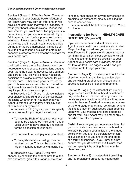#### *Continued from page 4 (prior to detachable insert)*

Section 4 (Page 1). **Effective Date**: The Agent designated in your Durable Power of Attorney for Health Care may only act after one or two physicians determine that you lack capacity to make your health care decisions. Please indicate whether you want one or two physicians to determine when you are incapacitated. If you fail to specify, then the law presumes that you want two. Please remember that in some parts of the state and in certain health care facilities during after-hours emergencies, it may be difficult to find a second physician to determine capacity in order to have someone advocate for your health care.

Section 5 (Page 1). **Agent's Powers**: Some of the listed powers are self-explanatory and do not require you to choose from options but give your Agent the power to advocate for treatment and care for you, as well as make necessary decisions to provide informed consent for your medical care. Other listed powers require for you to choose from some options. The following instructions are for the subsections that require you to choose your option.

In Subsection 5. A. (Page 1), please indicate your choice by checking one of the two boxes indicating whether or not you authorize your Agent to withhold or withdraw artificially-supplied nutrition or hydration.

In Subsection 5.F. (Page 2), you may specify certain powers for your Agent as follows:

- $\checkmark$  To have the Right of Sepulcher over your body to be designated "next of kin" under Missouri law to have custody and control for the disposition of your body.
- $\checkmark$  To consent to an autopsy after your death.
- $\checkmark$  To delegate decision-making power to another person. This can be useful if your Agent might be temporarily unavailable.

In Subsection 5.G. (Page 2), you may choose, by checking the shaded box, to authorize anatomical gifts with a range of stated op-

tions to further check off, or you may choose to prohibit such anatomical gifts by checking the second shaded box.

Be sure to initial the bottom of pages 1, 2 and 3 of the form.

# **Instructions for Part II – HEALTH CARE DIRECTIVE (Pages 2-3)**

If you choose to provide directions to your Agent or your health care providers about what life-prolonging procedures you want or do not want if you are in a persistently unconscious or terminally ill condition, please complete Part II. If you choose not to provide direction to your Agent or your health care providers, mark an "X" through Part II on pages 2 and 3 and proceed to Part III to sign your form.

**Section 1 (Page 2)** indicates your intent for the directive under Missouri law to provide clear and convincing proof of your choices and instructions about life-prolonging treatment.

**Section 2 (Page 3)** indicates that life-prolonging procedures are to be withheld or withdrawn only under two conditions: either you are in a persistently unconscious condition with no reasonable chance of medical recovery, or you are at the end-stage of a terminal condition. Where the line is drawn on such issues often depends upon what your medical providers determine and tell you. Your Agent may find other providers who have other opinions.

Certain life-prolonging procedures are listed for you to indicate that you choose to withhold or withdraw by putting your initials in the shaded boxes when you are in a persistently unconscious condition or you are at the end-stage of a terminal condition. If you know of a procedure that you do not want but it is not listed, you can specify it by writing its name in the blank line given.

**Section 3 (Page 3)** indicates that if providing any life-prolonging procedures might result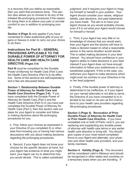in a recovery that you define as reasonable, then you want that procedure done. This section also allows you to choose to do any of the initialed life-prolonging procedures if the reason for doing them is to relieve your pain or provide comfort to you in addition to prolonging your life.

**Section 4 (Page 3)** only applies if you have consented to make anatomical gifts of your organs or tissues in order to carry out your choice to do them.

# **Instructions for Part III – GENERAL PROVISIONS APPLICABLE TO THE DURABLE POWER OF ATTORNEY FOR HEALTH CARE AND HEALTH CARE DIRECTIVE (Pages 3-4)**

**Part III** must be completed for the Durable Power of Attorney for Health Care (Part I) and the Health Care Directive (Part II) to be effective. Some of the sections are self-explanatory and a few are discussed below.

**Section 1. Relationship Between Durable Power of Attorney for Health Care and Health Care Directive (Pages 3-4).** If you have completed both the Durable Power of Attorney for Health Care (Part I) and the Health Care Directive (Part II) or you have just completed the Durable Power of Attorney for Health Care (Part I), then this section sets out steps for your Agent to consider and follow in making decisions about life-prolonging procedures for you.

A. First, follow your choices as expressed in your Directive (if you completed it) or otherwise from knowing you or having had various discussions with you about making decisions regarding life-prolonging procedures.

B. Second, if your Agent does not know your choices for the specific decision at hand, but your Agent has evidence of what you might want, your Agent can try to determine how you would decide. This is called *substituted* 

*judgment,* and it requires your Agent to imagine himself or herself in your position. Your Agent should consider your values, religious beliefs, past decisions, and past statements you have made. The aim is to have your Agent choose as you would probably choose, *even if it is not what your Agent would choose for himself or herself.*

C. Third, if your Agent has very little or no knowledge of choices that you would want, then your Agent and the doctors will have to make a decision based on what a reasonable person in the same situation would decide. This is called making decisions in your *best interest.* You should have confidence in your Agent's ability to make decisions in your best interest if your Agent does not have enough information to follow your preferences or use substituted judgment. If this is the case, you authorize your Agent to make decisions which might even be contrary to your Directive in his or her best judgment.

D. Finally, if the durable power of attorney is determined to be ineffective, or if your Agent (or your named alternate) is not able to serve, the Directive (if you have completed it) is intended to be used on its own as firm instructions to your health care providers regarding life-prolonging procedures.

**Section 3 (Page 4). Revocation of Prior Durable Power of Attorney for Health Care or Prior Health Care Directive.** If you have completed one or both of Parts I and II, you are replacing and supplanting any durable power of attorney with health care terms or any earlier health care directive or living will. You should give copies of your most recent completed forms to your Agent and alternate, your physician and other health care providers, and your family members.

**Section 4. Validity (Page 4).** This document will be considered valid in Missouri and should be recognized in other states and countries on a temporary basis when you are traveling. If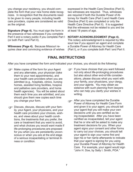you change your residency, you should complete the form that your new home state recognizes. In recognition that the documents need to be given to many people, including health care providers, copies are considered as valid as the original.

**Signature (Page 4).** You must sign the form in the presence of two witnesses if you complete Part II and a notary public if you complete Part I (or both Part I and Part II).

**Witnesses (Page 4).** Because Missouri requires clear and convincing evidence of wishes

expressed in the Health Care Directive (Part II), two witnesses are required. Thus, witnesses are required if both the Durable Power of Attorney for Health Care (Part I) and Health Care Directive (Part II) are completed or only the Health Care Directive (Part II). It is suggested that the witnesses not be related to you and be at least 18 years of age.

#### **NOTARY Acknowledgment (Page 4).**

The notary acknowledgment is required by Missouri law if you appoint an agent and complete a Durable Power of Attorney for Health Care (Part I), or if you complete both Part I and Part II.

# **FINAL INSTRUCTIONS**

After you have completed the form and indicated your choices, you should do the following:

- **F** Make copies of the form for your Agent and any alternates, your physician (take them to your next appointments), and your health care providers when you are admitted (e.g., hospitals, clinics, nursing homes, assisted living facilities, hospice and palliative care providers, and home health agencies). You will be asked about them each time you are admitted, and you should give them new copies each time you change your form.
- **Foliscuss, discuss, discuss with your fam-**<br>illy your Agent your physicians, and you ily, your Agent, your physicians, and your health care providers your choices, wishes, and views about your health conditions, the treatments that you prefer, the care or treatment that you want to avoid, and what choices you would want made if life-prolonging procedures are proposed for you when you are persistently unconscious or when you are at the end stage of a serious incapacitating or terminal illness or condition.
- **If you have choices that you want followed**<br>not only about life-prolonging procedures not only about life-prolonging procedures but also about other end-of-life considerations, please discuss what you want with your family, your physicians, your clergy, and your agents. You may obtain assistance with such planning from lawyers who can help you clarify your wishes in writing.
- **FREE PORT After you have completed the Durable Power of Attorney for Health Care Form** Power of Attorney for Health Care Form and given it to your agent, you should tell your agent that you will make your own decisions until you are certified as being incapacitated. After you have been certified as incapacitated, tell your agent that he or she will be asked to make any treatment decisions for you. When your agent signs your consent and other forms to carry out your choices, you should tell your agent to sign your name first and sign his or her name afterwards to indicate that your agent is signing for you using your Durable Power of Attorney for Health Care. For example, your agent would sign "John H. Doe, by Sally I. Smith, POA."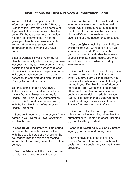# **Instructions for HIPAA Privacy Authorization Form**

You are entitled to keep your health information private. The HIPAA Privacy Authorization Form should be completed if you would like some person other than yourself to have access to your medical records and information. This form gives your health care providers written authorization to release your health information to the persons you have named.

Since a Durable Power of Attorney for Health Care is only effective after you have lost your capacity to make or communicate decisions and does not authorize release of medical information to the person named while you remain competent, it is then necessary to complete and sign the HIPAA Privacy Authorization Form.

You may complete a HIPAA Privacy Authorization Form whether or not you have a Durable Power of Attorney for Health Care. This HIPAA Authorization Form in this booklet is to be used along with the Durable Power of Attorney for Health Care form.

In **Section 1,** insert the name of your Agent named in your Durable Power of Attorney for Health Care.

In **Section 2(a),** indicate what time period is covered by the authorization, either with the specific dates or by checking the box that permits the release of medical information for all past, present, and future periods.

In **Section 2(b)**, check the box if you want to include all of your medical records.

In **Section 3(a),** check the box to indicate whether you want your complete health record, which includes records related to mental health, communicable diseases, HIV or AIDS and the treatment of alcoholism or drug abuse, to be released.

In **Section 3(b)**, check the box to indicate which records you want to exclude, if you want any excluded. Please note that if you do not want to authorize the release of your complete health record, you must indicate with a check which records you want excluded.

In **Section 4,** insert the name of the person or persons and relationship to you to whom you give permission to receive your medical information in addition to the Agent named in your Durable Power of Attorney for Health Care. Oftentimes people want other family members or friends to find out how you are doing in addition to your Agent. It is recommended that you name the Alternate Agents from your Durable Power of Attorney for Health Care.

In **Section 6,** fill in the date if you want this authorization to expire; otherwise, the authorization will remain in effect until nine (9) months after your death.

Please read **Sections 5, 7, 8 and 9** before signing your name and dating the form.

After you have completed the HIPPA Privacy Authorization Form, detach, make copies and give copies to your health care providers.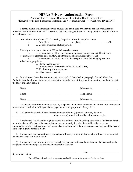# **HIPAA Privacy Authorization Form**

Authorization for Use or Disclosure of Protected Health Information (Required by the Health Insurance Portability and Accountability Act — 45 CFR Parts 160 and 164)

1. I hereby authorize all medical service sources and health care providers to use and/or disclose the protected health information (''PHI'') described below to my agent identified in my durable power of attorney for health care named

 2. Authorization for release of PHI covering the period of health care (check one) a. from (date) \_\_\_\_\_\_\_\_\_\_\_\_\_\_\_\_\_ - to (date)\_\_\_\_\_\_\_\_\_\_\_\_\_\_\_\_\_\_\_\_\_\_\_ OR  $\frac{a}{b}$   $\frac{b}{c}$  all past, present and future periods.

3. I hereby authorize the release of PHI as follows (check one)**:**

a.  $\Box$  my complete health record (including records relating to mental health care, communicable diseases, HIV or AIDS, and treatment of alcohol/drug abuse). OR

 b. my complete health record *with the exception of the following information* (check as appropriate):

Mental health records

 $\square$  Communicable diseases (including HIV and AIDS)

Alcohol/drug abuse treatment

Other (please specify): \_\_\_\_\_\_\_\_\_\_\_\_\_\_\_\_\_\_\_\_\_\_\_\_\_\_\_\_\_\_\_\_\_\_\_\_\_\_\_\_\_\_\_\_\_\_\_\_ .

4. In addition to the authorization for release of my PHI described in paragraphs 3 a and 3 b of this Authorization, I authorize disclosure of information regarding my billing, condition, treatment and prognosis to the following individual(s):

| Name | Relationship |
|------|--------------|
| Name | Relationship |
| Name | Relationship |

 5. This medical information may be used by the persons I authorize to receive this information for medical treatment or consultation, billing or claims payment, or other purposes as I may direct.

 6. This authorization shall be in force and effect until nine (9) months after my death or  $\Box$  (date or event) at which time this authorization expires.

 7. I understand that I have the right to revoke this authorization, in writing, at any time. I understand that a revocation is not effective to the extent that any person or entity has already acted in reliance on my authorization or if my authorization was obtained as a condition of obtaining insurance coverage and the insurer has a legal right to contest a claim.

 8. I understand that my treatment, payment, enrollment, or eligibility for benefits will not be conditioned on whether I sign this authorization.

 9. I understand that information used or disclosed pursuant to this authorization may be disclosed by the recipient and may no longer be protected by federal or state law.

Signature of Patient

\_\_\_\_\_\_\_\_\_\_\_\_\_\_\_\_\_\_\_\_\_\_\_\_\_\_\_\_\_\_\_\_\_\_\_\_\_\_\_\_\_\_\_\_\_\_\_\_\_\_\_\_\_ Date: \_\_\_\_\_\_\_\_\_\_\_\_\_\_\_\_\_\_\_\_\_\_\_\_\_

Tear off, keep original, and give copies to your health care provider, agent and family members